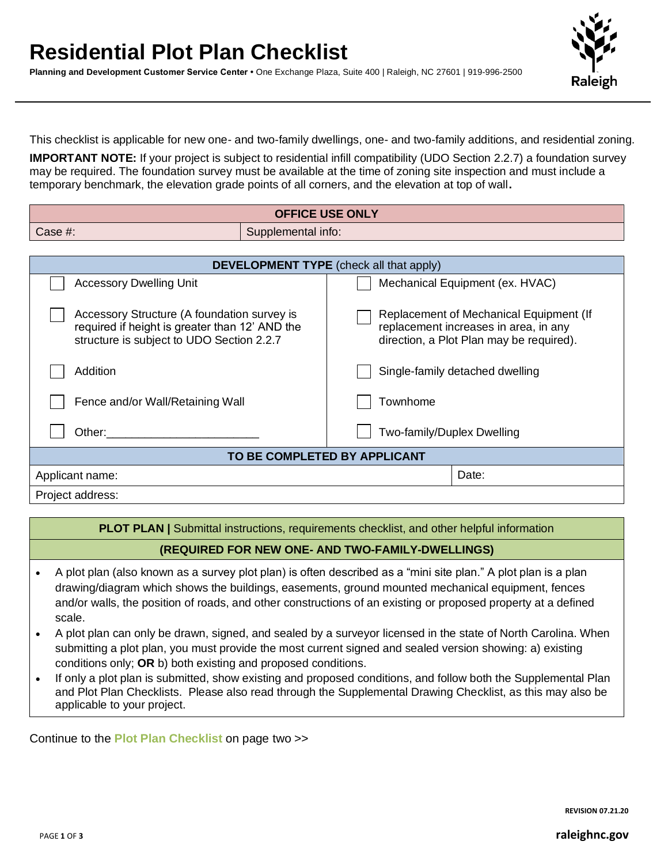## **Residential Plot Plan Checklist**

**Planning and Development Customer Service Center •** One Exchange Plaza, Suite 400 | Raleigh, NC 27601 | 919-996-2500



This checklist is applicable for new one- and two-family dwellings, one- and two-family additions, and residential zoning.

**IMPORTANT NOTE:** If your project is subject to residential infill compatibility (UDO Section 2.2.7) a foundation survey may be required. The foundation survey must be available at the time of zoning site inspection and must include a temporary benchmark, the elevation grade points of all corners, and the elevation at top of wall**.**

| <b>OFFICE USE ONLY</b>                                                                                                                     |  |                                                                                                                              |  |  |  |
|--------------------------------------------------------------------------------------------------------------------------------------------|--|------------------------------------------------------------------------------------------------------------------------------|--|--|--|
| Case $#$ :<br>Supplemental info:                                                                                                           |  |                                                                                                                              |  |  |  |
|                                                                                                                                            |  |                                                                                                                              |  |  |  |
| <b>DEVELOPMENT TYPE</b> (check all that apply)                                                                                             |  |                                                                                                                              |  |  |  |
| <b>Accessory Dwelling Unit</b>                                                                                                             |  | Mechanical Equipment (ex. HVAC)                                                                                              |  |  |  |
| Accessory Structure (A foundation survey is<br>required if height is greater than 12' AND the<br>structure is subject to UDO Section 2.2.7 |  | Replacement of Mechanical Equipment (If<br>replacement increases in area, in any<br>direction, a Plot Plan may be required). |  |  |  |
| Addition                                                                                                                                   |  | Single-family detached dwelling                                                                                              |  |  |  |
| Fence and/or Wall/Retaining Wall                                                                                                           |  | Townhome                                                                                                                     |  |  |  |
| Other:                                                                                                                                     |  | Two-family/Duplex Dwelling                                                                                                   |  |  |  |
| TO BE COMPLETED BY APPLICANT                                                                                                               |  |                                                                                                                              |  |  |  |
| Applicant name:                                                                                                                            |  | Date:                                                                                                                        |  |  |  |
| Project address:                                                                                                                           |  |                                                                                                                              |  |  |  |

**PLOT PLAN** | Submittal instructions, requirements checklist, and other helpful information

## **(REQUIRED FOR NEW ONE- AND TWO-FAMILY-DWELLINGS)**

- A plot plan (also known as a survey plot plan) is often described as a "mini site plan." A plot plan is a plan drawing/diagram which shows the buildings, easements, ground mounted mechanical equipment, fences and/or walls, the position of roads, and other constructions of an existing or proposed property at a defined scale.
- A plot plan can only be drawn, signed, and sealed by a surveyor licensed in the state of North Carolina. When submitting a plot plan, you must provide the most current signed and sealed version showing: a) existing conditions only; **OR** b) both existing and proposed conditions.
- If only a plot plan is submitted, show existing and proposed conditions, and follow both the Supplemental Plan and Plot Plan Checklists. Please also read through the Supplemental Drawing Checklist, as this may also be applicable to your project.

Continue to the **Plot Plan Checklist** on page two >>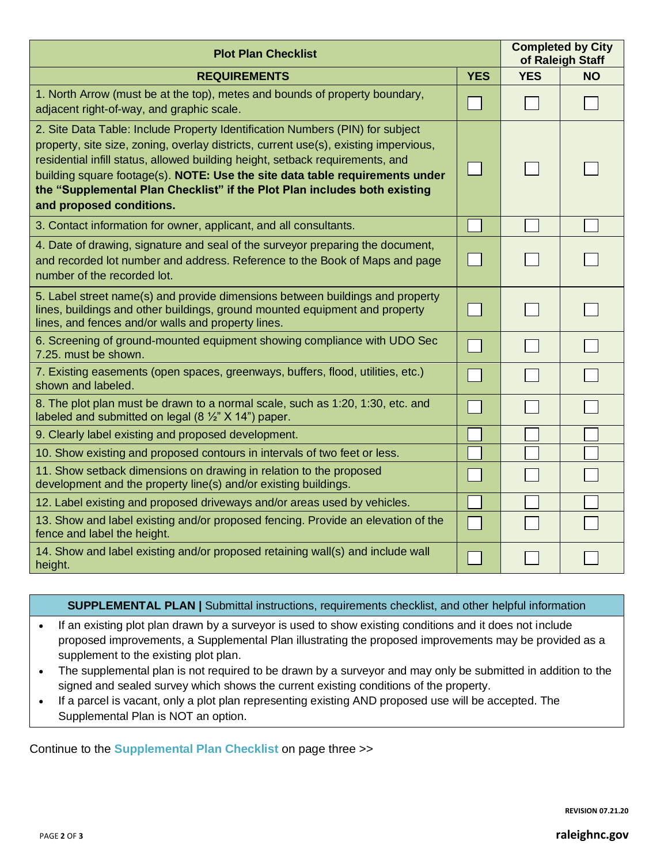| <b>Plot Plan Checklist</b>                                                                                                                                                                                                                                                                                                                                                                                                                      |            |            | <b>Completed by City</b><br>of Raleigh Staff |  |
|-------------------------------------------------------------------------------------------------------------------------------------------------------------------------------------------------------------------------------------------------------------------------------------------------------------------------------------------------------------------------------------------------------------------------------------------------|------------|------------|----------------------------------------------|--|
| <b>REQUIREMENTS</b>                                                                                                                                                                                                                                                                                                                                                                                                                             | <b>YES</b> | <b>YES</b> | <b>NO</b>                                    |  |
| 1. North Arrow (must be at the top), metes and bounds of property boundary,<br>adjacent right-of-way, and graphic scale.                                                                                                                                                                                                                                                                                                                        |            |            |                                              |  |
| 2. Site Data Table: Include Property Identification Numbers (PIN) for subject<br>property, site size, zoning, overlay districts, current use(s), existing impervious,<br>residential infill status, allowed building height, setback requirements, and<br>building square footage(s). NOTE: Use the site data table requirements under<br>the "Supplemental Plan Checklist" if the Plot Plan includes both existing<br>and proposed conditions. |            |            |                                              |  |
| 3. Contact information for owner, applicant, and all consultants.                                                                                                                                                                                                                                                                                                                                                                               |            |            |                                              |  |
| 4. Date of drawing, signature and seal of the surveyor preparing the document,<br>and recorded lot number and address. Reference to the Book of Maps and page<br>number of the recorded lot.                                                                                                                                                                                                                                                    |            |            |                                              |  |
| 5. Label street name(s) and provide dimensions between buildings and property<br>lines, buildings and other buildings, ground mounted equipment and property<br>lines, and fences and/or walls and property lines.                                                                                                                                                                                                                              |            |            |                                              |  |
| 6. Screening of ground-mounted equipment showing compliance with UDO Sec<br>7.25, must be shown.                                                                                                                                                                                                                                                                                                                                                |            |            |                                              |  |
| 7. Existing easements (open spaces, greenways, buffers, flood, utilities, etc.)<br>shown and labeled.                                                                                                                                                                                                                                                                                                                                           |            |            |                                              |  |
| 8. The plot plan must be drawn to a normal scale, such as 1:20, 1:30, etc. and<br>labeled and submitted on legal (8 $\frac{1}{2}$ " X 14") paper.                                                                                                                                                                                                                                                                                               |            |            |                                              |  |
| 9. Clearly label existing and proposed development.                                                                                                                                                                                                                                                                                                                                                                                             |            |            |                                              |  |
| 10. Show existing and proposed contours in intervals of two feet or less.                                                                                                                                                                                                                                                                                                                                                                       |            |            |                                              |  |
| 11. Show setback dimensions on drawing in relation to the proposed<br>development and the property line(s) and/or existing buildings.                                                                                                                                                                                                                                                                                                           |            |            |                                              |  |
| 12. Label existing and proposed driveways and/or areas used by vehicles.                                                                                                                                                                                                                                                                                                                                                                        |            |            |                                              |  |
| 13. Show and label existing and/or proposed fencing. Provide an elevation of the<br>fence and label the height.                                                                                                                                                                                                                                                                                                                                 |            |            |                                              |  |
| 14. Show and label existing and/or proposed retaining wall(s) and include wall<br>height.                                                                                                                                                                                                                                                                                                                                                       |            |            |                                              |  |

## **SUPPLEMENTAL PLAN |** Submittal instructions, requirements checklist, and other helpful information

- If an existing plot plan drawn by a surveyor is used to show existing conditions and it does not include proposed improvements, a Supplemental Plan illustrating the proposed improvements may be provided as a supplement to the existing plot plan.
- The supplemental plan is not required to be drawn by a surveyor and may only be submitted in addition to the signed and sealed survey which shows the current existing conditions of the property.
- If a parcel is vacant, only a plot plan representing existing AND proposed use will be accepted. The Supplemental Plan is NOT an option.

Continue to the **Supplemental Plan Checklist** on page three >>